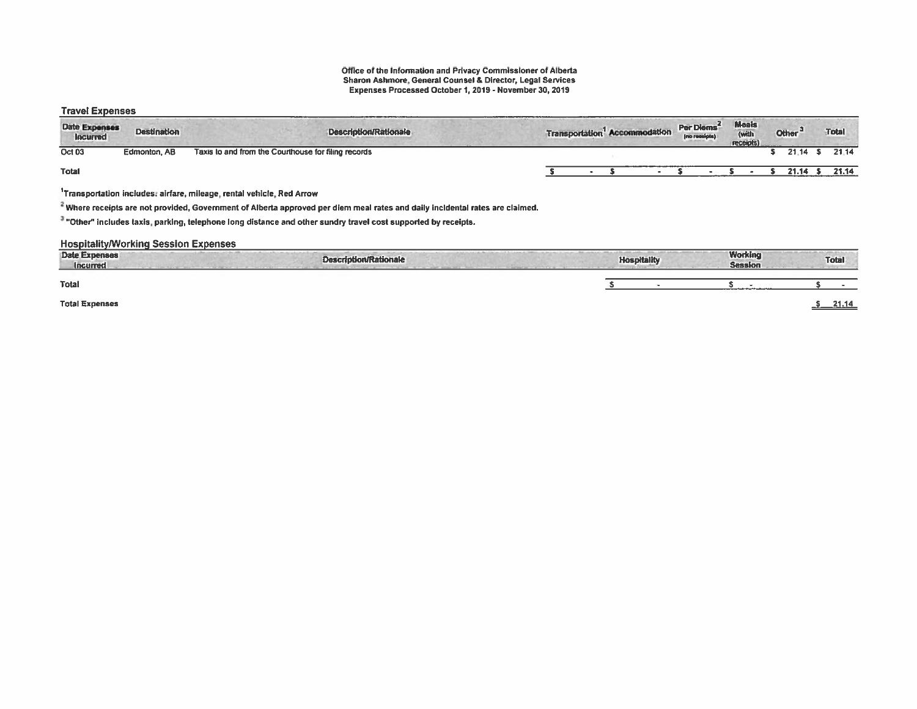# Office of the Information and Privacy Commissioner of Alberta Sharon Ashmore, General Counsel & Director, Legal Services Expenses Processed October 1,2019 - November 30, 2019

### Travel Expenses

| <b>Date Expenses</b><br>locurred | <b>Destination</b> | <b>Description/Rationale</b>                                                                                                                                                                                      |  | Transportation <sup>1</sup> Accommodation | Per Diems<br>(no receipts) | Meals<br>(with<br>receipts) |  | Other <sup>:</sup> | <b>Total</b> |
|----------------------------------|--------------------|-------------------------------------------------------------------------------------------------------------------------------------------------------------------------------------------------------------------|--|-------------------------------------------|----------------------------|-----------------------------|--|--------------------|--------------|
| Oct 03                           | Edmonton, AB       | Taxis to and from the Courthouse for filing records                                                                                                                                                               |  |                                           |                            |                             |  | 21.14              | 21.14        |
| <b>Total</b>                     |                    |                                                                                                                                                                                                                   |  |                                           |                            |                             |  | 21.14              | 21.14        |
|                                  |                    | Transportation includes: airfare, mileage, rental vehicle, Red Arrow<br>$^{\epsilon}$ Where receipts are not provided, Government of Alberta approved per diem meal rates and daily incldental rates are claimed. |  |                                           |                            |                             |  |                    |              |

<sup>3</sup> "Other" includes taxis, parking, telephone long distance and other sundry travel cost supported by receipts.

### **Hospitality/Working Session Expenses**

| <b>Date Expenses</b><br><b>Incurred</b> | <b>Description/Rationale</b> | <b>Hospitality</b> | <b>Working</b><br><b>Session</b>                                 | <b>Total</b> |
|-----------------------------------------|------------------------------|--------------------|------------------------------------------------------------------|--------------|
| Total                                   |                              |                    | and the contract of the first state of the contract of the first |              |
| <b>Total Expenses</b>                   |                              |                    |                                                                  | 21.14        |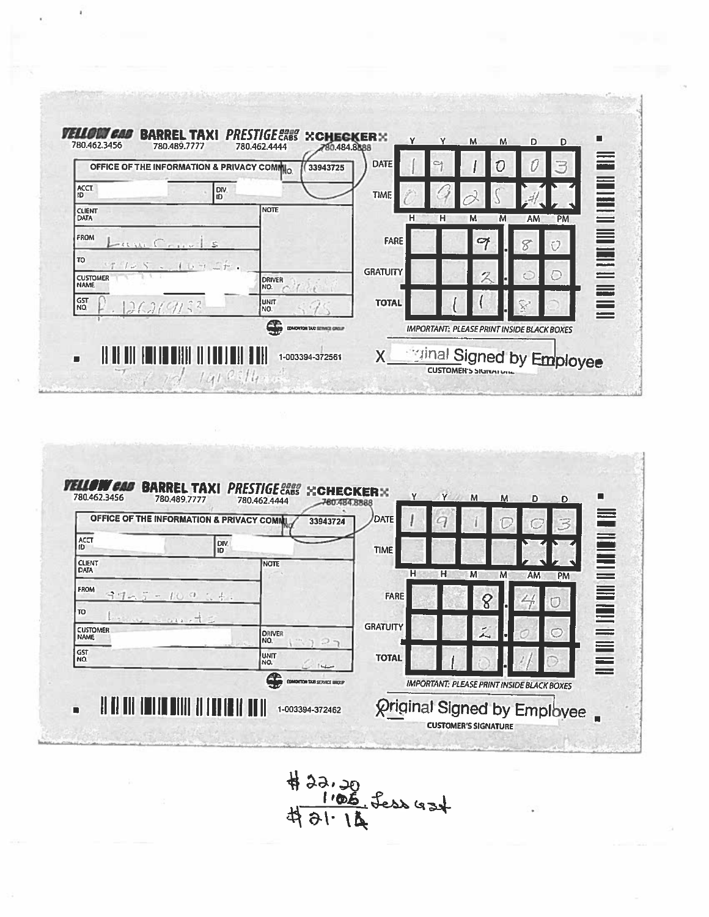



 $422.20$ <br> $105$  fess 424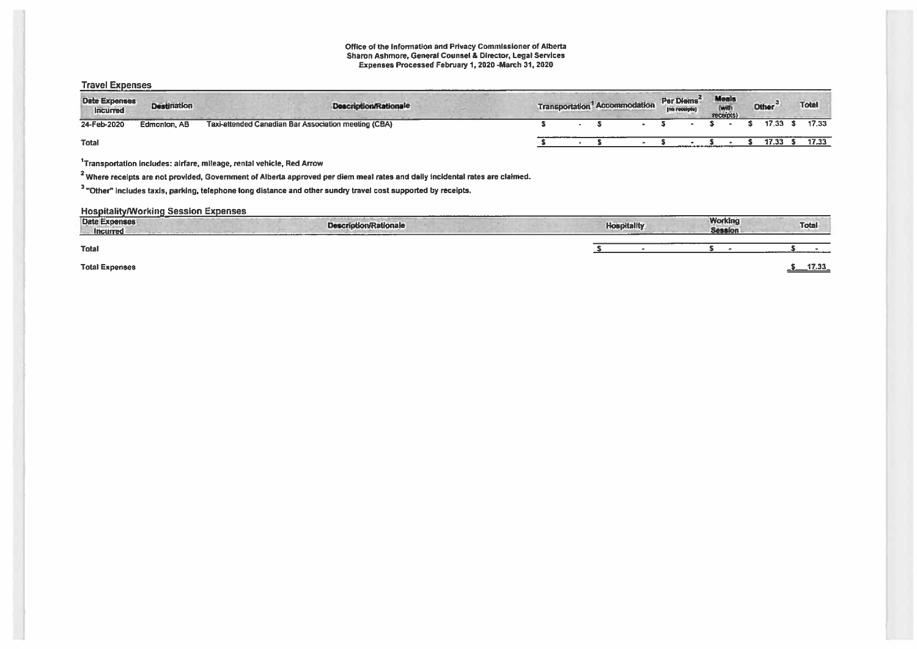#### Office of the Information and Privacy Commissioner of Alberta Sharon Ashmore. General Counsel & Director, Legal Services Expenses Processed February 1,2020-March 31. <sup>2020</sup>

### Travel Expenses

| <b>Date Expenses</b><br>Incurred | Destination  | <b>Description/Rationale</b>                         |  |  | <b>Transportation</b> Accommodation | Per Diems <sup>2</sup> | Meals<br>(with<br>receipts) | Other <sup>3</sup> | <b>Total</b> |
|----------------------------------|--------------|------------------------------------------------------|--|--|-------------------------------------|------------------------|-----------------------------|--------------------|--------------|
| 24-Feb-2020                      | Edmonton, AB | Taxi-attended Canadian Bar Association meeting (CBA) |  |  |                                     |                        |                             | 17.33 S            | 17.33        |
| Total                            |              |                                                      |  |  |                                     |                        |                             | 17.33              | 17.33        |

'Transportation includes: airfare, mileage, rental vehicle, Red Arrow

<sup>2</sup> Where receipts are not provided, Government of Alberta approved per diem meal rates and daily incidental rates are claimed.

<sup>3</sup> "Other" includes taxis, parking, telephone long distance and other sundry travel cost supported by receipts.

## HospitalityMorking Session Expenses

| Date Expenses<br><b>Incurred</b> | <b>Description/Rationale</b> | <b>Hospitality</b> | <b>Working</b><br><b>Session</b> | <b>Total</b> |
|----------------------------------|------------------------------|--------------------|----------------------------------|--------------|
| Total                            |                              |                    |                                  |              |
| <b>Total Expenses</b>            |                              |                    |                                  | 17.33        |